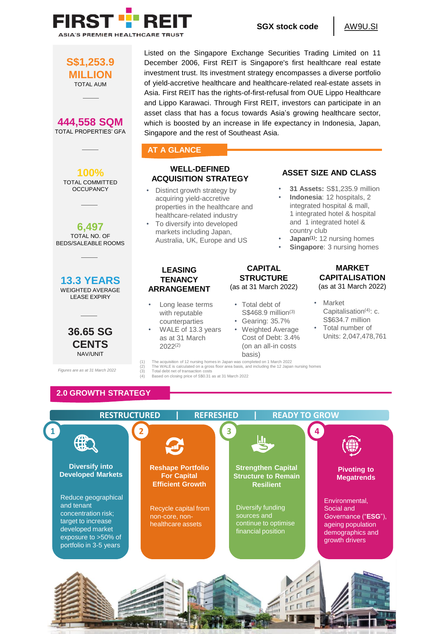

**SGX stock code** | AW9U.SI

**S\$1,253.9 MILLION** TOTAL AUM **444,558 SQM**

TOTAL PROPERTIES' GFA



**6,497** TOTAL NO. OF BEDS/SALEABLE ROOMS





*Figures are as at 31 March 2022*

## Listed on the Singapore Exchange Securities Trading Limited on 11 December 2006, First REIT is Singapore's first healthcare real estate investment trust. Its investment strategy encompasses a diverse portfolio of yield-accretive healthcare and healthcare-related real-estate assets in Asia. First REIT has the rights-of-first-refusal from OUE Lippo Healthcare and Lippo Karawaci. Through First REIT, investors can participate in an asset class that has a focus towards Asia's growing healthcare sector, which is boosted by an increase in life expectancy in Indonesia, Japan, Singapore and the rest of Southeast Asia.

#### **AT A GLANCE**

## **WELL-DEFINED ACQUISITION STRATEGY**

- Distinct growth strategy by acquiring yield-accretive properties in the healthcare and healthcare-related industry
- To diversify into developed markets including Japan, Australia, UK, Europe and US

#### **LEASING TENANCY ARRANGEMENT**

- Long lease terms with reputable counterparties
- WALE of 13.3 years as at 31 March 2022(2)

## **CAPITAL STRUCTURE** (as at 31 March 2022)

- Total debt of S\$468.9 million(3)
- Gearing: 35.7%
- Weighted Average Cost of Debt: 3.4% (on an all-in costs basis)

## **ASSET SIZE AND CLASS**

- **31 Assets:** S\$1,235.9 million • **Indonesia**: 12 hospitals, 2
- integrated hospital & mall, 1 integrated hotel & hospital and 1 integrated hotel & country club
- **Japan<sup>(1)</sup>: 12 nursing homes**
- **Singapore: 3 nursing homes**

#### **MARKET CAPITALISATION** (as at 31 March 2022)

- Market Capitalisation<sup>(4)</sup>: c. S\$634.7 million
- Total number of Units: 2,047,478,761

(1) The acquisition of 12 nursing homes in Japan was completed on 1 March 2022<br>(2) The WALE is calculated on a gross floor area basis, and including the 12 Japan<br>(3) Total debt net of transaction costs (2) The WALE is calculated on a gross floor area basis, and including the 12 Japan nursing homes (3) Total debt net of transaction costs

Based on closing price of S\$0.31 as at 31 March 2022

# **2.0 GROWTH STRATEGY**